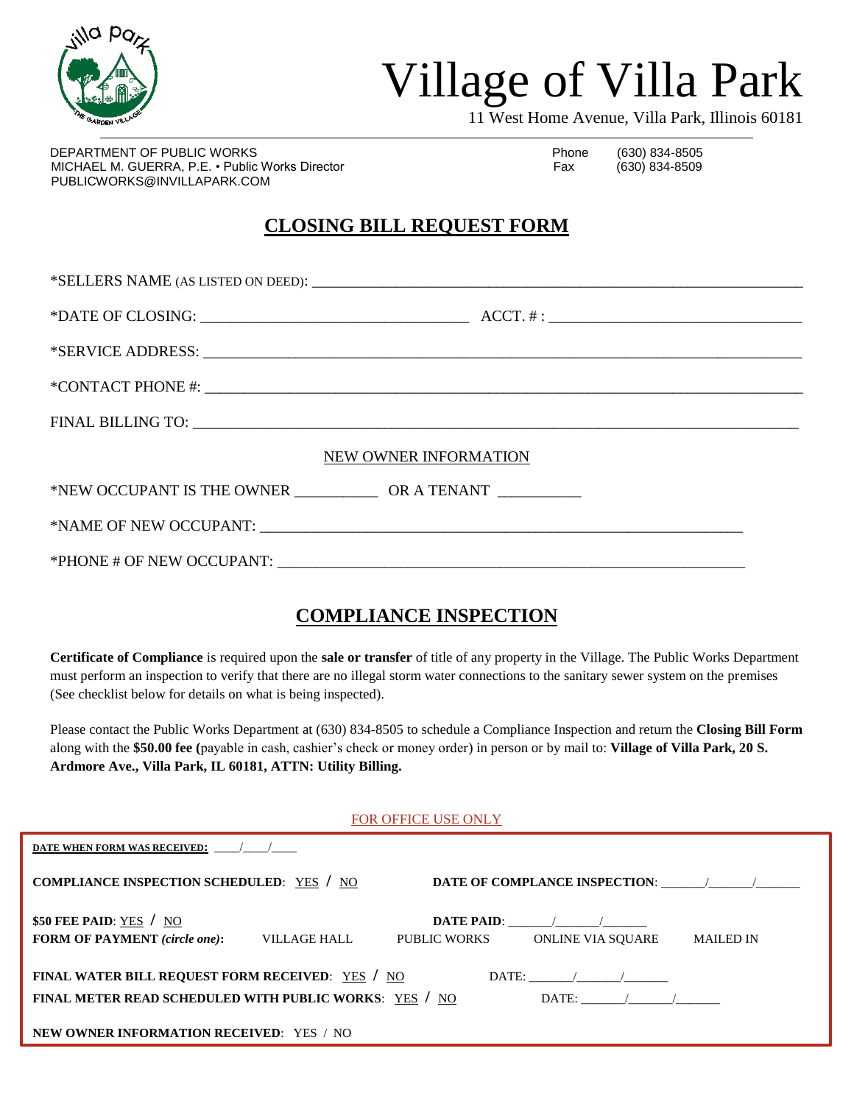

## Village of Villa Park

11 West Home Avenue, Villa Park, Illinois 60181

DEPARTMENT OF PUBLIC WORKS **Phone** (630) 834-8505 MICHAEL M. GUERRA, P.E. • Public Works Director Fax Fax (630) 834-8509 PUBLICWORKS@INVILLAPARK.COM

### **CLOSING BILL REQUEST FORM**

| NEW OWNER INFORMATION |  |  |
|-----------------------|--|--|
|                       |  |  |
|                       |  |  |
|                       |  |  |

#### **COMPLIANCE INSPECTION**

**Certificate of Compliance** is required upon the **sale or transfer** of title of any property in the Village. The Public Works Department must perform an inspection to verify that there are no illegal storm water connections to the sanitary sewer system on the premises (See checklist below for details on what is being inspected).

Please contact the Public Works Department at (630) 834-8505 to schedule a Compliance Inspection and return the **Closing Bill Form** along with the **\$50.00 fee (**payable in cash, cashier's check or money order) in person or by mail to: **Village of Villa Park, 20 S. Ardmore Ave., Villa Park, IL 60181, ATTN: Utility Billing.**

FOR OFFICE USE ONLY

| DATE WHEN FORM WAS RECEIVED:                                                      |                                                                                                                                                                                                                                |  |
|-----------------------------------------------------------------------------------|--------------------------------------------------------------------------------------------------------------------------------------------------------------------------------------------------------------------------------|--|
| COMPLIANCE INSPECTION SCHEDULED: YES / NO                                         | DATE OF COMPLANCE INSPECTION: The matrix of the matrix of the matrix of the matrix of the matrix of the matrix of the matrix of the matrix of the matrix of the matrix of the matrix of the matrix of the matrix of the matrix |  |
| \$50 FEE PAID: $YES / NO$<br><b>FORM OF PAYMENT</b> (circle one):<br>VILLAGE HALL | $\mathbf{DATE}$ <b>PAID:</b><br>PUBLIC WORKS<br>ONLINE VIA SOUARE<br><b>MAILED IN</b>                                                                                                                                          |  |
| FINAL WATER BILL REQUEST FORM RECEIVED: YES / NO<br>$\text{DATE:}$ / /            |                                                                                                                                                                                                                                |  |
| FINAL METER READ SCHEDULED WITH PUBLIC WORKS: YES / NO<br>$\text{DATE:}$ / /      |                                                                                                                                                                                                                                |  |
| NEW OWNER INFORMATION RECEIVED: YES / NO                                          |                                                                                                                                                                                                                                |  |
|                                                                                   |                                                                                                                                                                                                                                |  |